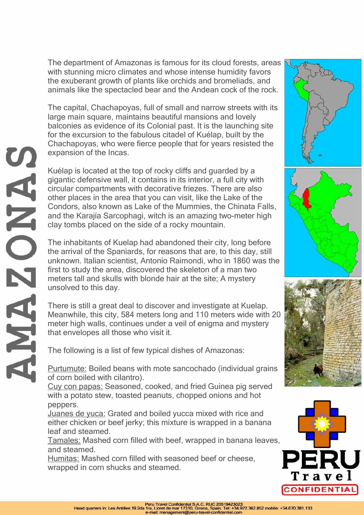The department of Amazonas is famous for its cloud forests, areas with stunning micro climates and whose intense humidity favors the exuberant growth of plants like orchids and bromeliads, and animals like the spectacled bear and the Andean cock of the rock.

The capital, Chachapoyas, full of small and narrow streets with its large main square, maintains beautiful mansions and lovely balconies as evidence of its Colonial past. It is the launching site for the excursion to the fabulous citadel of Kuélap, built by the Chachapoyas, who were fierce people that for years resisted the expansion of the Incas.

Kuélap is located at the top of rocky cliffs and guarded by a gigantic defensive wall, it contains in its interior, a full city with circular compartments with decorative friezes. There are also other places in the area that you can visit, like the Lake of the Condors, also known as Lake of the Mummies, the Chinata Falls, and the Karajía Sarcophagi, witch is an amazing two-meter high clay tombs placed on the side of a rocky mountain.

The inhabitants of Kuelap had abandoned their city, long before the arrival of the Spaniards, for reasons that are, to this day, still unknown. Italian scientist, Antonio Raimondi, who in 1860 was the first to study the area, discovered the skeleton of a man two meters tall and skulls with blonde hair at the site; A mystery unsolved to this day.

There is still a great deal to discover and investigate at Kuelap. Meanwhile, this city, 584 meters long and 110 meters wide with 20 meter high walls, continues under a veil of enigma and mystery that envelopes all those who visit it.

The following is a list of few typical dishes of Amazonas:

Purtumute: Boiled beans with mote sancochado (individual grains of corn boiled with cilantro).

Cuy con papas: Seasoned, cooked, and fried Guinea pig served with a potato stew, toasted peanuts, chopped onions and hot peppers.

Juanes de yuca: Grated and boiled yucca mixed with rice and either chicken or beef jerky; this mixture is wrapped in a banana leaf and steamed.

Tamales: Mashed corn filled with beef, wrapped in banana leaves, and steamed.

Humitas: Mashed corn filled with seasoned beef or cheese, wrapped in corn shucks and steamed.









 $\mathbf{Q}$ NA ORANE